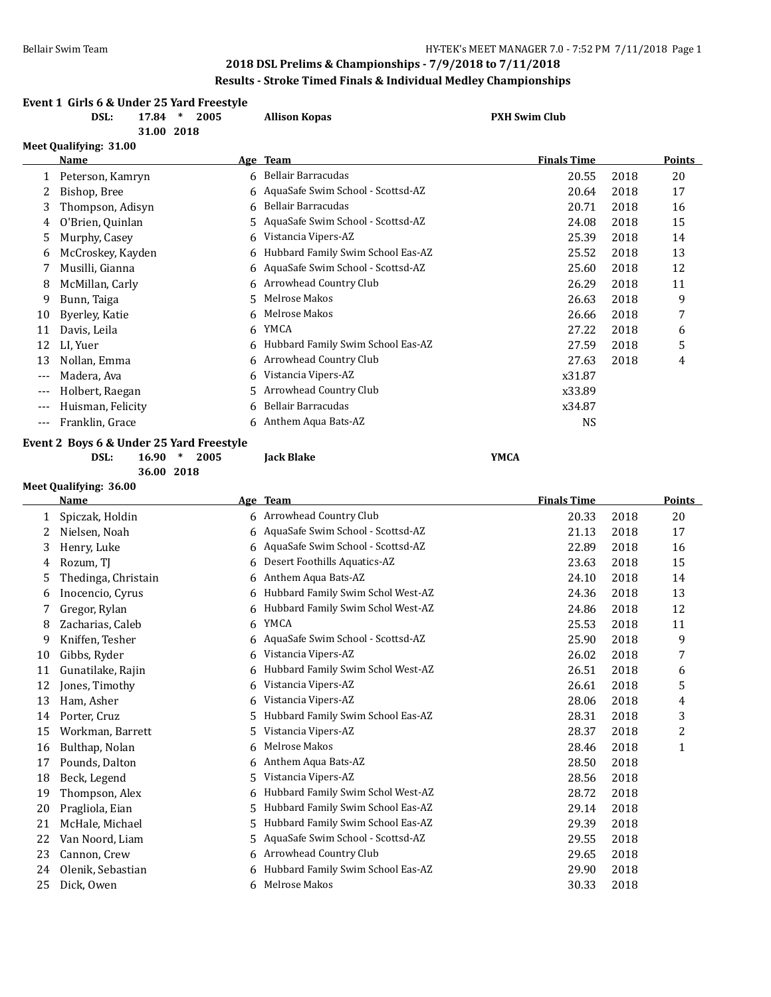|       | DSL:                   | 17.84 | Event 1 Girls 6 & Under 25 Yard Freestyle<br>$\ast$<br>2005<br>31.00 2018 | <b>Allison Kopas</b>                | <b>PXH Swim Club</b> |      |        |
|-------|------------------------|-------|---------------------------------------------------------------------------|-------------------------------------|----------------------|------|--------|
|       | Meet Qualifying: 31.00 |       |                                                                           |                                     |                      |      |        |
|       | Name                   |       |                                                                           | Age Team                            | <b>Finals Time</b>   |      | Points |
|       | Peterson, Kamryn       |       |                                                                           | 6 Bellair Barracudas                | 20.55                | 2018 | 20     |
| 2     | Bishop, Bree           |       |                                                                           | 6 AquaSafe Swim School - Scottsd-AZ | 20.64                | 2018 | 17     |
| 3     | Thompson, Adisyn       |       | 6                                                                         | Bellair Barracudas                  | 20.71                | 2018 | 16     |
| 4     | O'Brien, Quinlan       |       | 5                                                                         | AquaSafe Swim School - Scottsd-AZ   | 24.08                | 2018 | 15     |
| 5     | Murphy, Casey          |       | 6                                                                         | Vistancia Vipers-AZ                 | 25.39                | 2018 | 14     |
| 6     | McCroskey, Kayden      |       | 6                                                                         | Hubbard Family Swim School Eas-AZ   | 25.52                | 2018 | 13     |
| 7     | Musilli, Gianna        |       | 6                                                                         | AquaSafe Swim School - Scottsd-AZ   | 25.60                | 2018 | 12     |
| 8     | McMillan, Carly        |       |                                                                           | 6 Arrowhead Country Club            | 26.29                | 2018 | 11     |
| 9     | Bunn, Taiga            |       | 5.                                                                        | Melrose Makos                       | 26.63                | 2018 | 9      |
| 10    | Byerley, Katie         |       | 6                                                                         | Melrose Makos                       | 26.66                | 2018 | 7      |
| 11    | Davis, Leila           |       | 6                                                                         | <b>YMCA</b>                         | 27.22                | 2018 | 6      |
| 12    | LI, Yuer               |       |                                                                           | Hubbard Family Swim School Eas-AZ   | 27.59                | 2018 | 5      |
| 13    | Nollan, Emma           |       | 6                                                                         | Arrowhead Country Club              | 27.63                | 2018 | 4      |
| $---$ | Madera, Ava            |       | 6                                                                         | Vistancia Vipers-AZ                 | x31.87               |      |        |
| ---   | Holbert, Raegan        |       | 5                                                                         | Arrowhead Country Club              | x33.89               |      |        |
| $---$ | Huisman, Felicity      |       | 6                                                                         | <b>Bellair Barracudas</b>           | x34.87               |      |        |
| $---$ | Franklin, Grace        |       |                                                                           | 6 Anthem Aqua Bats-AZ               | NS                   |      |        |
|       |                        |       | Event 2 Boys 6 & Under 25 Yard Freestyle                                  |                                     |                      |      |        |

**DSL: 16.90 \* 2005 Jack Blake YMCA**

**36.00 2018**

**Meet Qualifying: 36.00**

|    | Name                |    | Age Team                          | <b>Finals Time</b> |      | Points       |
|----|---------------------|----|-----------------------------------|--------------------|------|--------------|
| 1  | Spiczak, Holdin     |    | 6 Arrowhead Country Club          | 20.33              | 2018 | 20           |
|    | Nielsen, Noah       | 6  | AquaSafe Swim School - Scottsd-AZ | 21.13              | 2018 | 17           |
| 3  | Henry, Luke         | 6. | AquaSafe Swim School - Scottsd-AZ | 22.89              | 2018 | 16           |
| 4  | Rozum, TJ           | 6  | Desert Foothills Aquatics-AZ      | 23.63              | 2018 | 15           |
| 5  | Thedinga, Christain | 6  | Anthem Aqua Bats-AZ               | 24.10              | 2018 | 14           |
| 6  | Inocencio, Cyrus    | 6  | Hubbard Family Swim Schol West-AZ | 24.36              | 2018 | 13           |
| 7  | Gregor, Rylan       | 6  | Hubbard Family Swim Schol West-AZ | 24.86              | 2018 | 12           |
| 8  | Zacharias, Caleb    | 6  | YMCA                              | 25.53              | 2018 | 11           |
| 9  | Kniffen, Tesher     | 6  | AquaSafe Swim School - Scottsd-AZ | 25.90              | 2018 | 9            |
| 10 | Gibbs, Ryder        | 6  | Vistancia Vipers-AZ               | 26.02              | 2018 | 7            |
| 11 | Gunatilake, Rajin   | 6  | Hubbard Family Swim Schol West-AZ | 26.51              | 2018 | 6            |
| 12 | Jones, Timothy      | 6  | Vistancia Vipers-AZ               | 26.61              | 2018 | 5            |
| 13 | Ham, Asher          | 6  | Vistancia Vipers-AZ               | 28.06              | 2018 | 4            |
| 14 | Porter, Cruz        | 5. | Hubbard Family Swim School Eas-AZ | 28.31              | 2018 | 3            |
| 15 | Workman, Barrett    | 5. | Vistancia Vipers-AZ               | 28.37              | 2018 | 2            |
| 16 | Bulthap, Nolan      | 6. | Melrose Makos                     | 28.46              | 2018 | $\mathbf{1}$ |
| 17 | Pounds, Dalton      | 6. | Anthem Aqua Bats-AZ               | 28.50              | 2018 |              |
| 18 | Beck, Legend        | 5. | Vistancia Vipers-AZ               | 28.56              | 2018 |              |
| 19 | Thompson, Alex      | 6  | Hubbard Family Swim Schol West-AZ | 28.72              | 2018 |              |
| 20 | Pragliola, Eian     | 5. | Hubbard Family Swim School Eas-AZ | 29.14              | 2018 |              |
| 21 | McHale, Michael     | 5. | Hubbard Family Swim School Eas-AZ | 29.39              | 2018 |              |
| 22 | Van Noord, Liam     | 5. | AquaSafe Swim School - Scottsd-AZ | 29.55              | 2018 |              |
| 23 | Cannon, Crew        | 6. | Arrowhead Country Club            | 29.65              | 2018 |              |
| 24 | Olenik, Sebastian   | 6  | Hubbard Family Swim School Eas-AZ | 29.90              | 2018 |              |
| 25 | Dick, Owen          | 6  | Melrose Makos                     | 30.33              | 2018 |              |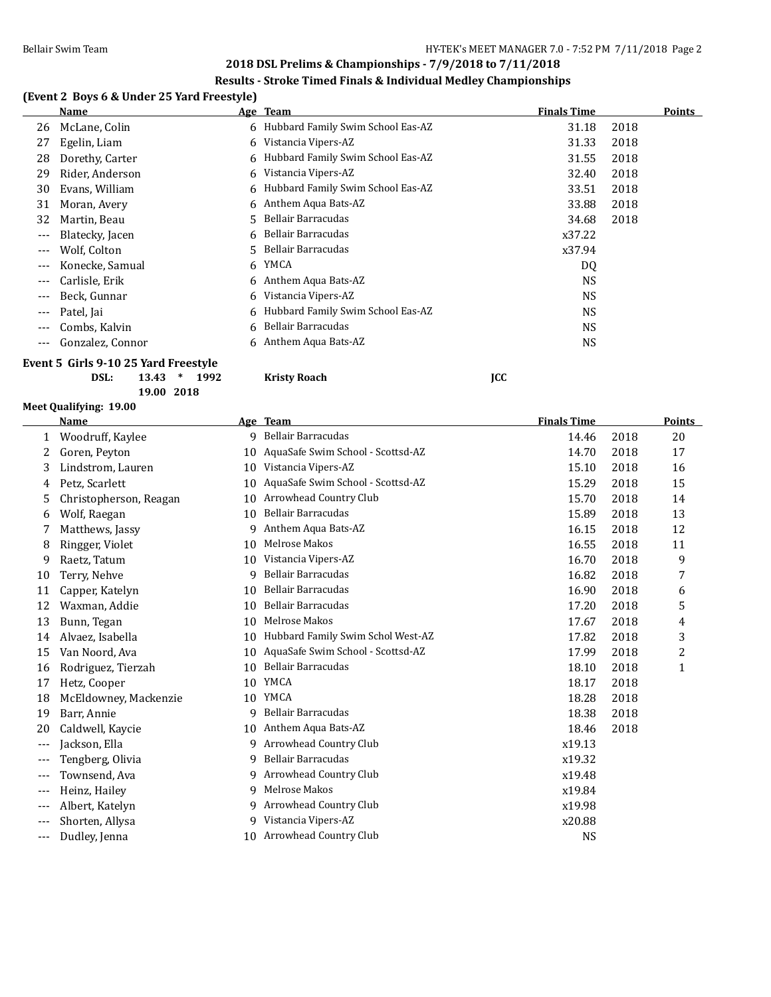## **Results - Stroke Timed Finals & Individual Medley Championships**

# **(Event 2 Boys 6 & Under 25 Yard Freestyle)**

|       | Name             |    | Age Team                            | <b>Finals Time</b> |      | Points |
|-------|------------------|----|-------------------------------------|--------------------|------|--------|
| 26    | McLane, Colin    |    | 6 Hubbard Family Swim School Eas-AZ | 31.18              | 2018 |        |
| 27    | Egelin, Liam     | 6  | Vistancia Vipers-AZ                 | 31.33              | 2018 |        |
| 28    | Dorethy, Carter  | 6. | Hubbard Family Swim School Eas-AZ   | 31.55              | 2018 |        |
| 29    | Rider, Anderson  | 6  | Vistancia Vipers-AZ                 | 32.40              | 2018 |        |
| 30    | Evans, William   |    | 6 Hubbard Family Swim School Eas-AZ | 33.51              | 2018 |        |
| 31    | Moran, Avery     |    | 6 Anthem Aqua Bats-AZ               | 33.88              | 2018 |        |
| 32    | Martin, Beau     |    | 5 Bellair Barracudas                | 34.68              | 2018 |        |
| $---$ | Blatecky, Jacen  |    | 6 Bellair Barracudas                | x37.22             |      |        |
| $---$ | Wolf, Colton     |    | 5 Bellair Barracudas                | x37.94             |      |        |
| ---   | Konecke, Samual  | 6  | YMCA                                | DQ                 |      |        |
| $---$ | Carlisle, Erik   |    | 6 Anthem Aqua Bats-AZ               | <b>NS</b>          |      |        |
| $---$ | Beck, Gunnar     | 6  | Vistancia Vipers-AZ                 | <b>NS</b>          |      |        |
| $---$ | Patel, Jai       |    | 6 Hubbard Family Swim School Eas-AZ | <b>NS</b>          |      |        |
| $---$ | Combs, Kalvin    | 6  | Bellair Barracudas                  | <b>NS</b>          |      |        |
| $---$ | Gonzalez, Connor | 6  | Anthem Aqua Bats-AZ                 | <b>NS</b>          |      |        |
|       |                  |    |                                     |                    |      |        |

# **Event 5 Girls 9-10 25 Yard Freestyle**

**DSL: 13.43 \* 1992 Kristy Roach JCC**

**Meet Qualifying: 19.00**

**19.00 2018**

|          | <b>Name</b>            |    | Age Team                          | <b>Finals Time</b> |      | <b>Points</b> |
|----------|------------------------|----|-----------------------------------|--------------------|------|---------------|
| 1        | Woodruff, Kaylee       | 9  | Bellair Barracudas                | 14.46              | 2018 | 20            |
| 2        | Goren, Peyton          | 10 | AquaSafe Swim School - Scottsd-AZ | 14.70              | 2018 | 17            |
| 3        | Lindstrom, Lauren      | 10 | Vistancia Vipers-AZ               | 15.10              | 2018 | 16            |
| 4        | Petz, Scarlett         | 10 | AquaSafe Swim School - Scottsd-AZ | 15.29              | 2018 | 15            |
| 5        | Christopherson, Reagan | 10 | Arrowhead Country Club            | 15.70              | 2018 | 14            |
| 6        | Wolf, Raegan           | 10 | <b>Bellair Barracudas</b>         | 15.89              | 2018 | 13            |
| 7        | Matthews, Jassy        | 9  | Anthem Aqua Bats-AZ               | 16.15              | 2018 | 12            |
| 8        | Ringger, Violet        | 10 | Melrose Makos                     | 16.55              | 2018 | 11            |
| 9        | Raetz, Tatum           | 10 | Vistancia Vipers-AZ               | 16.70              | 2018 | 9             |
| 10       | Terry, Nehve           | 9  | <b>Bellair Barracudas</b>         | 16.82              | 2018 | 7             |
| 11       | Capper, Katelyn        | 10 | <b>Bellair Barracudas</b>         | 16.90              | 2018 | 6             |
| 12       | Waxman, Addie          | 10 | <b>Bellair Barracudas</b>         | 17.20              | 2018 | 5             |
| 13       | Bunn, Tegan            | 10 | Melrose Makos                     | 17.67              | 2018 | 4             |
| 14       | Alvaez, Isabella       | 10 | Hubbard Family Swim Schol West-AZ | 17.82              | 2018 | 3             |
| 15       | Van Noord, Ava         | 10 | AquaSafe Swim School - Scottsd-AZ | 17.99              | 2018 | 2             |
| 16       | Rodriguez, Tierzah     | 10 | <b>Bellair Barracudas</b>         | 18.10              | 2018 | $\mathbf{1}$  |
| 17       | Hetz, Cooper           | 10 | YMCA                              | 18.17              | 2018 |               |
| 18       | McEldowney, Mackenzie  | 10 | YMCA                              | 18.28              | 2018 |               |
| 19       | Barr, Annie            | 9  | <b>Bellair Barracudas</b>         | 18.38              | 2018 |               |
| 20       | Caldwell, Kaycie       | 10 | Anthem Aqua Bats-AZ               | 18.46              | 2018 |               |
| $---$    | Jackson, Ella          | 9  | Arrowhead Country Club            | x19.13             |      |               |
| $---$    | Tengberg, Olivia       | 9  | <b>Bellair Barracudas</b>         | x19.32             |      |               |
|          | Townsend, Ava          | 9  | Arrowhead Country Club            | x19.48             |      |               |
| $---$    | Heinz, Hailey          | 9  | Melrose Makos                     | x19.84             |      |               |
| ---      | Albert, Katelyn        | 9  | Arrowhead Country Club            | x19.98             |      |               |
|          | Shorten, Allysa        | 9  | Vistancia Vipers-AZ               | x20.88             |      |               |
| $\cdots$ | Dudley, Jenna          |    | 10 Arrowhead Country Club         | <b>NS</b>          |      |               |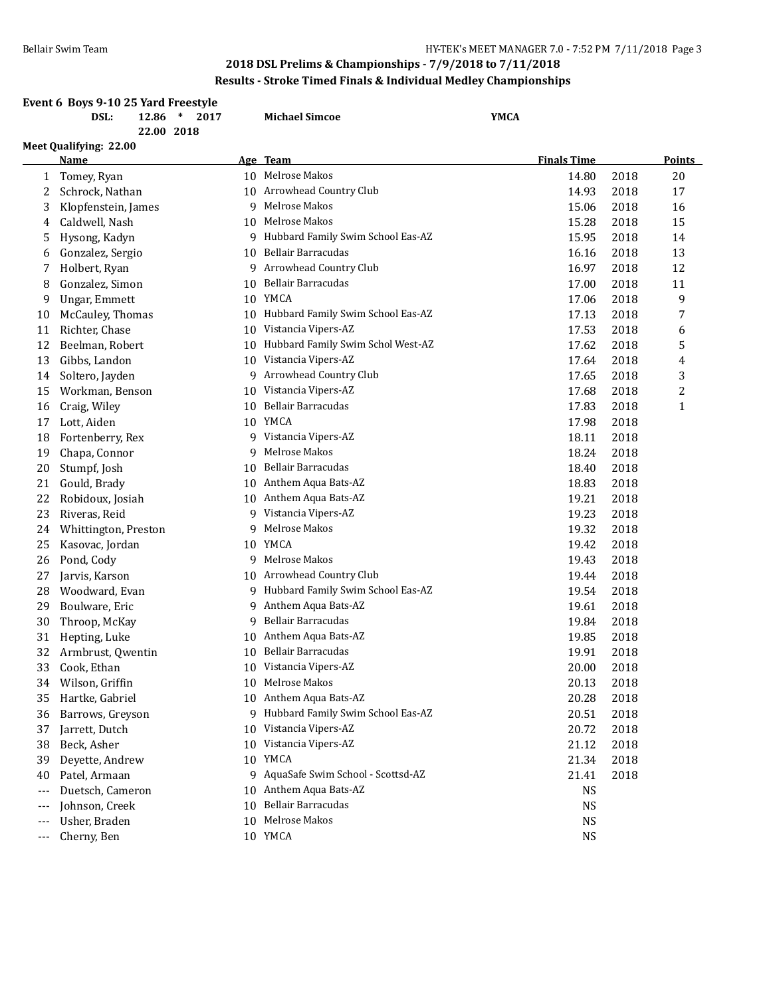# **2018 DSL Prelims & Championships - 7/9/2018 to 7/11/2018 Results - Stroke Timed Finals & Individual Medley Championships**

|              | Event 6 Boys 9-10 25 Yard Freestyle<br>DSL:<br>$12.86$ *<br>2017 |    | <b>Michael Simcoe</b>                      | <b>YMCA</b> |                    |      |                |
|--------------|------------------------------------------------------------------|----|--------------------------------------------|-------------|--------------------|------|----------------|
|              | 22.00 2018                                                       |    |                                            |             |                    |      |                |
|              | Meet Qualifying: 22.00                                           |    |                                            |             |                    |      |                |
|              | Name                                                             |    | Age Team                                   |             | <b>Finals Time</b> |      | <b>Points</b>  |
| $\mathbf{1}$ | Tomey, Ryan                                                      |    | 10 Melrose Makos                           |             | 14.80              | 2018 | 20             |
| 2            | Schrock, Nathan                                                  |    | 10 Arrowhead Country Club                  |             | 14.93              | 2018 | 17             |
| 3            | Klopfenstein, James                                              | 9  | Melrose Makos                              |             | 15.06              | 2018 | 16             |
| 4            | Caldwell, Nash                                                   | 10 | Melrose Makos                              |             | 15.28              | 2018 | 15             |
| 5            | Hysong, Kadyn                                                    |    | 9 Hubbard Family Swim School Eas-AZ        |             | 15.95              | 2018 | 14             |
| 6            | Gonzalez, Sergio                                                 |    | 10 Bellair Barracudas                      |             | 16.16              | 2018 | 13             |
| 7            | Holbert, Ryan                                                    | 9. | Arrowhead Country Club                     |             | 16.97              | 2018 | 12             |
| 8            | Gonzalez, Simon                                                  |    | 10 Bellair Barracudas                      |             | 17.00              | 2018 | 11             |
| 9            | Ungar, Emmett                                                    |    | 10 YMCA                                    |             | 17.06              | 2018 | 9              |
| 10           | McCauley, Thomas                                                 |    | 10 Hubbard Family Swim School Eas-AZ       |             | 17.13              | 2018 | 7              |
| 11           | Richter, Chase                                                   |    | 10 Vistancia Vipers-AZ                     |             | 17.53              | 2018 | 6              |
| 12           | Beelman, Robert                                                  | 10 | Hubbard Family Swim Schol West-AZ          |             | 17.62              | 2018 | 5              |
| 13           | Gibbs, Landon                                                    |    | 10 Vistancia Vipers-AZ                     |             | 17.64              | 2018 | 4              |
| 14           | Soltero, Jayden                                                  | 9  | Arrowhead Country Club                     |             | 17.65              | 2018 | 3              |
| 15           | Workman, Benson                                                  |    | 10 Vistancia Vipers-AZ                     |             | 17.68              | 2018 | $\overline{c}$ |
| 16           | Craig, Wiley                                                     | 10 | <b>Bellair Barracudas</b>                  |             | 17.83              | 2018 | $\mathbf{1}$   |
| 17           | Lott, Aiden                                                      |    | 10 YMCA                                    |             | 17.98              | 2018 |                |
| 18           | Fortenberry, Rex                                                 | 9  | Vistancia Vipers-AZ                        |             | 18.11              | 2018 |                |
| 19           | Chapa, Connor                                                    | 9  | Melrose Makos                              |             | 18.24              | 2018 |                |
| 20           | Stumpf, Josh                                                     | 10 | Bellair Barracudas                         |             | 18.40              | 2018 |                |
| 21           | Gould, Brady                                                     | 10 | Anthem Aqua Bats-AZ                        |             | 18.83              | 2018 |                |
| 22           | Robidoux, Josiah                                                 |    | 10 Anthem Aqua Bats-AZ                     |             | 19.21              | 2018 |                |
| 23           | Riveras, Reid                                                    | 9  | Vistancia Vipers-AZ                        |             | 19.23              | 2018 |                |
| 24           | Whittington, Preston                                             | 9  | Melrose Makos                              |             | 19.32              | 2018 |                |
| 25           | Kasovac, Jordan                                                  |    | 10 YMCA                                    |             | 19.42              | 2018 |                |
| 26           | Pond, Cody                                                       | 9  | Melrose Makos                              |             | 19.43              | 2018 |                |
| 27           | Jarvis, Karson                                                   | 10 | Arrowhead Country Club                     |             | 19.44              | 2018 |                |
| 28           | Woodward, Evan                                                   |    | 9 Hubbard Family Swim School Eas-AZ        |             | 19.54              | 2018 |                |
| 29           | Boulware, Eric                                                   | 9  | Anthem Aqua Bats-AZ                        |             | 19.61              | 2018 |                |
| 30           | Throop, McKay                                                    | 9  | <b>Bellair Barracudas</b>                  |             | 19.84              | 2018 |                |
| 31           |                                                                  | 10 | Anthem Aqua Bats-AZ                        |             | 19.85              | 2018 |                |
| 32           | Hepting, Luke                                                    |    | 10 Bellair Barracudas                      |             |                    |      |                |
|              | Armbrust, Qwentin<br>Cook, Ethan                                 |    |                                            |             | 19.91              | 2018 |                |
| 33           |                                                                  |    | 10 Vistancia Vipers-AZ<br>10 Melrose Makos |             | 20.00              | 2018 |                |
| 34           | Wilson, Griffin                                                  |    |                                            |             | 20.13              | 2018 |                |
| 35           | Hartke, Gabriel                                                  |    | 10 Anthem Aqua Bats-AZ                     |             | 20.28              | 2018 |                |
| 36           | Barrows, Greyson                                                 |    | 9 Hubbard Family Swim School Eas-AZ        |             | 20.51              | 2018 |                |
| 37           | Jarrett, Dutch                                                   |    | 10 Vistancia Vipers-AZ                     |             | 20.72              | 2018 |                |
| 38           | Beck, Asher                                                      |    | 10 Vistancia Vipers-AZ                     |             | 21.12              | 2018 |                |
| 39           | Deyette, Andrew                                                  |    | 10 YMCA                                    |             | 21.34              | 2018 |                |
| 40           | Patel, Armaan                                                    |    | 9 AquaSafe Swim School - Scottsd-AZ        |             | 21.41              | 2018 |                |
| ---          | Duetsch, Cameron                                                 |    | 10 Anthem Aqua Bats-AZ                     |             | <b>NS</b>          |      |                |
| $---$        | Johnson, Creek                                                   |    | 10 Bellair Barracudas                      |             | <b>NS</b>          |      |                |
| $---$        | Usher, Braden                                                    |    | 10 Melrose Makos                           |             | <b>NS</b>          |      |                |
| $---$        | Cherny, Ben                                                      |    | 10 YMCA                                    |             | <b>NS</b>          |      |                |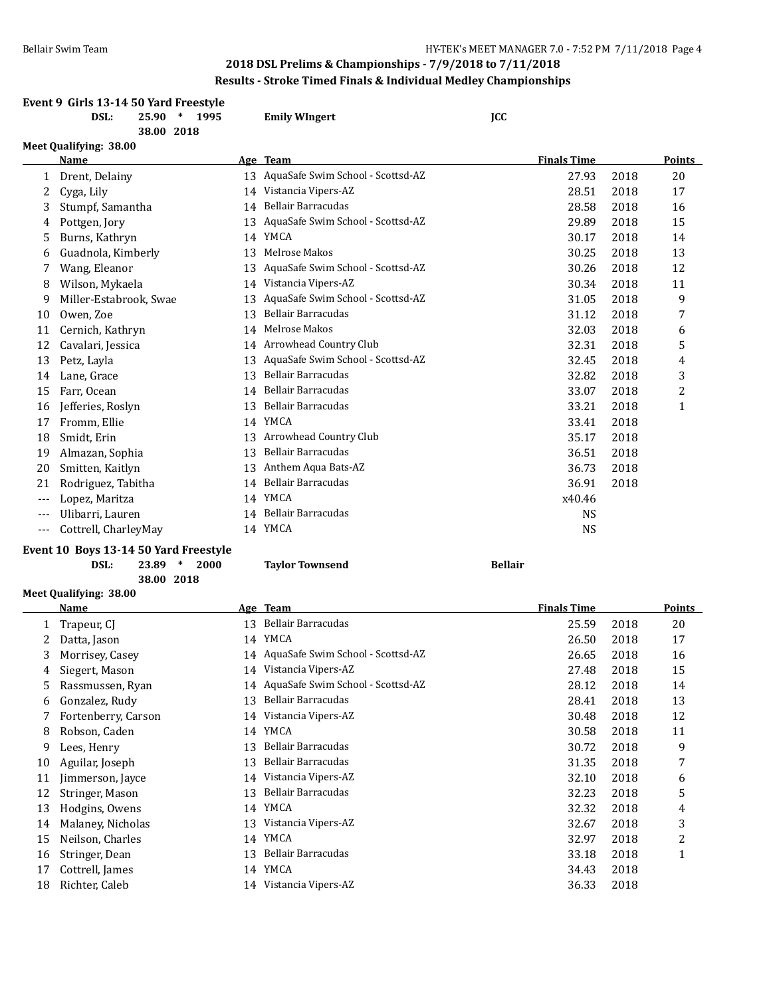# **2018 DSL Prelims & Championships - 7/9/2018 to 7/11/2018 Results - Stroke Timed Finals & Individual Medley Championships**

|       | Event 9 Girls 13-14 50 Yard Freestyle<br>DSL:<br>25.90<br>$*$ 1995<br>38.00 2018 |    | <b>Emily WIngert</b>                 | <b>JCC</b>         |      |              |
|-------|----------------------------------------------------------------------------------|----|--------------------------------------|--------------------|------|--------------|
|       | Meet Qualifying: 38.00                                                           |    |                                      |                    |      |              |
|       | <b>Name</b>                                                                      |    | Age Team                             | <b>Finals Time</b> |      | Points       |
| 1     | Drent, Delainy                                                                   |    | 13 AquaSafe Swim School - Scottsd-AZ | 27.93              | 2018 | 20           |
| 2     | Cyga, Lily                                                                       |    | 14 Vistancia Vipers-AZ               | 28.51              | 2018 | 17           |
| 3     | Stumpf, Samantha                                                                 | 14 | <b>Bellair Barracudas</b>            | 28.58              | 2018 | 16           |
| 4     | Pottgen, Jory                                                                    |    | 13 AquaSafe Swim School - Scottsd-AZ | 29.89              | 2018 | 15           |
| 5     | Burns, Kathryn                                                                   | 14 | YMCA                                 | 30.17              | 2018 | 14           |
| 6     | Guadnola, Kimberly                                                               | 13 | Melrose Makos                        | 30.25              | 2018 | 13           |
|       | Wang, Eleanor                                                                    | 13 | AquaSafe Swim School - Scottsd-AZ    | 30.26              | 2018 | 12           |
| 8     | Wilson, Mykaela                                                                  | 14 | Vistancia Vipers-AZ                  | 30.34              | 2018 | 11           |
| 9     | Miller-Estabrook, Swae                                                           | 13 | AquaSafe Swim School - Scottsd-AZ    | 31.05              | 2018 | 9            |
| 10    | Owen, Zoe                                                                        | 13 | <b>Bellair Barracudas</b>            | 31.12              | 2018 | 7            |
| 11    | Cernich, Kathryn                                                                 | 14 | Melrose Makos                        | 32.03              | 2018 | 6            |
| 12    | Cavalari, Jessica                                                                |    | 14 Arrowhead Country Club            | 32.31              | 2018 | 5            |
| 13    | Petz, Layla                                                                      | 13 | AquaSafe Swim School - Scottsd-AZ    | 32.45              | 2018 | 4            |
| 14    | Lane, Grace                                                                      | 13 | Bellair Barracudas                   | 32.82              | 2018 | 3            |
| 15    | Farr, Ocean                                                                      |    | 14 Bellair Barracudas                | 33.07              | 2018 | 2            |
| 16    | Jefferies, Roslyn                                                                | 13 | Bellair Barracudas                   | 33.21              | 2018 | $\mathbf{1}$ |
| 17    | Fromm, Ellie                                                                     |    | 14 YMCA                              | 33.41              | 2018 |              |
| 18    | Smidt, Erin                                                                      |    | 13 Arrowhead Country Club            | 35.17              | 2018 |              |
| 19    | Almazan, Sophia                                                                  | 13 | <b>Bellair Barracudas</b>            | 36.51              | 2018 |              |
| 20    | Smitten, Kaitlyn                                                                 | 13 | Anthem Aqua Bats-AZ                  | 36.73              | 2018 |              |
| 21    | Rodriguez, Tabitha                                                               |    | 14 Bellair Barracudas                | 36.91              | 2018 |              |
| $---$ | Lopez, Maritza                                                                   |    | 14 YMCA                              | x40.46             |      |              |
| $---$ | Ulibarri, Lauren                                                                 |    | 14 Bellair Barracudas                | <b>NS</b>          |      |              |
| ---   | Cottrell, CharleyMay                                                             |    | 14 YMCA                              | <b>NS</b>          |      |              |

### **Event 10 Boys 13-14 50 Yard Freestyle**

**DSL: 23.89 \* 2000 Taylor Townsend Bellair**

**38.00 2018**

**Meet Qualifying: 38.00**

|    | Name                | <u>Age</u> | <b>Team</b>                       | <b>Finals Time</b> |      | Points      |
|----|---------------------|------------|-----------------------------------|--------------------|------|-------------|
|    | Trapeur, CJ         | 13         | Bellair Barracudas                | 25.59              | 2018 | 20          |
| 2  | Datta, Jason        | 14         | YMCA                              | 26.50              | 2018 | 17          |
| 3  | Morrisey, Casey     | 14         | AquaSafe Swim School - Scottsd-AZ | 26.65              | 2018 | 16          |
| 4  | Siegert, Mason      | 14         | Vistancia Vipers-AZ               | 27.48              | 2018 | 15          |
| 5  | Rassmussen, Ryan    | 14         | AquaSafe Swim School - Scottsd-AZ | 28.12              | 2018 | 14          |
| 6  | Gonzalez, Rudy      | 13         | Bellair Barracudas                | 28.41              | 2018 | 13          |
|    | Fortenberry, Carson | 14         | Vistancia Vipers-AZ               | 30.48              | 2018 | 12          |
| 8  | Robson, Caden       | 14         | <b>YMCA</b>                       | 30.58              | 2018 | 11          |
| 9  | Lees, Henry         | 13         | Bellair Barracudas                | 30.72              | 2018 | 9           |
| 10 | Aguilar, Joseph     | 13         | Bellair Barracudas                | 31.35              | 2018 | 7           |
| 11 | Jimmerson, Jayce    | 14         | Vistancia Vipers-AZ               | 32.10              | 2018 | 6           |
| 12 | Stringer, Mason     | 13         | Bellair Barracudas                | 32.23              | 2018 | 5           |
| 13 | Hodgins, Owens      | 14         | YMCA                              | 32.32              | 2018 | 4           |
| 14 | Malaney, Nicholas   | 13         | Vistancia Vipers-AZ               | 32.67              | 2018 | 3           |
| 15 | Neilson, Charles    | 14         | <b>YMCA</b>                       | 32.97              | 2018 | 2           |
| 16 | Stringer, Dean      | 13         | Bellair Barracudas                | 33.18              | 2018 | $\mathbf 1$ |
| 17 | Cottrell, James     | 14         | <b>YMCA</b>                       | 34.43              | 2018 |             |
| 18 | Richter, Caleb      | 14         | Vistancia Vipers-AZ               | 36.33              | 2018 |             |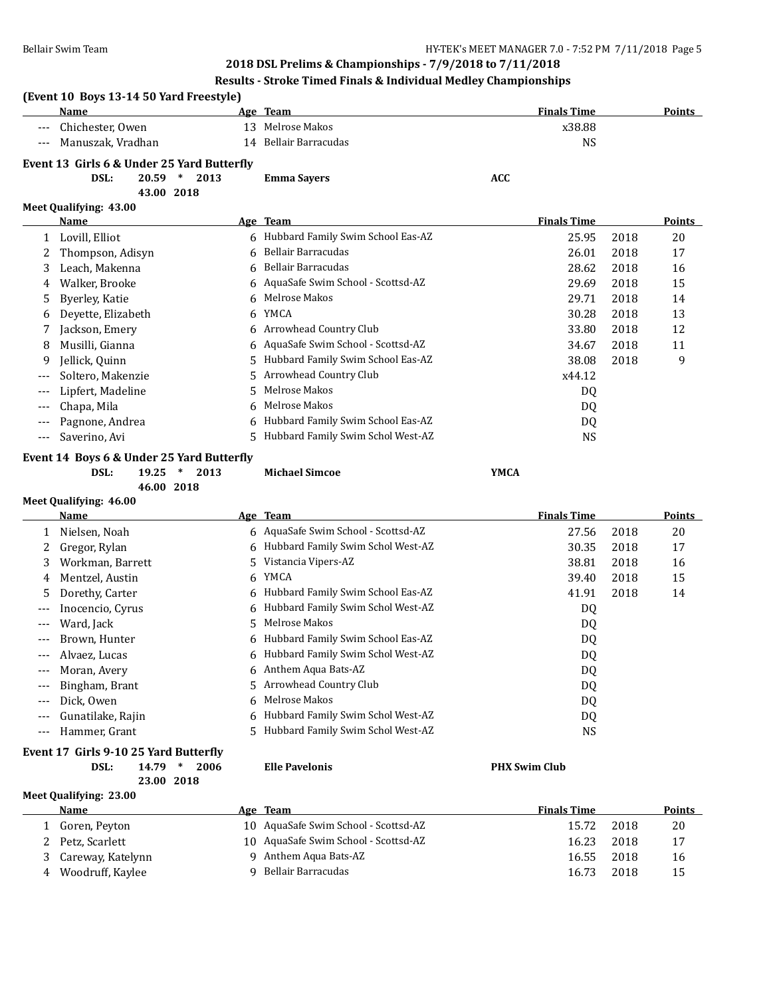# **Results - Stroke Timed Finals & Individual Medley Championships**

## **(Event 10 Boys 13-14 50 Yard Freestyle)**

| Name                                                       | Age | Team                  | <b>Finals Time</b> | <b>Points</b> |  |  |  |
|------------------------------------------------------------|-----|-----------------------|--------------------|---------------|--|--|--|
| --- Chichester, Owen                                       |     | 13 Melrose Makos      | x38.88             |               |  |  |  |
| --- Manuszak, Vradhan                                      |     | 14 Bellair Barracudas | NS                 |               |  |  |  |
| Example $\sim 12$ C: $\approx 6$ Under $25$ Vand Dutterfly |     |                       |                    |               |  |  |  |

#### **Event 13 Girls 6 & Under 25 Yard Butterfly DSL: 20.59 \* 2013 Emma Sayers ACC**

**43.00 2018**

## **Meet Qualifying: 43.00**

**Meet Qualifying: 46.00**

|       | Name               |    | Age Team                            | <b>Finals Time</b> |      | <b>Points</b> |
|-------|--------------------|----|-------------------------------------|--------------------|------|---------------|
| 1     | Lovill, Elliot     |    | 6 Hubbard Family Swim School Eas-AZ | 25.95              | 2018 | 20            |
|       | Thompson, Adisyn   |    | 6 Bellair Barracudas                | 26.01              | 2018 | 17            |
| 3     | Leach, Makenna     |    | 6 Bellair Barracudas                | 28.62              | 2018 | 16            |
| 4     | Walker, Brooke     |    | 6 AquaSafe Swim School - Scottsd-AZ | 29.69              | 2018 | 15            |
| 5.    | Byerley, Katie     |    | 6 Melrose Makos                     | 29.71              | 2018 | 14            |
| 6     | Deyette, Elizabeth | 6  | YMCA                                | 30.28              | 2018 | 13            |
|       | Jackson, Emery     |    | 6 Arrowhead Country Club            | 33.80              | 2018 | 12            |
| 8     | Musilli, Gianna    |    | 6 AquaSafe Swim School - Scottsd-AZ | 34.67              | 2018 | 11            |
| 9     | Jellick, Quinn     |    | 5 Hubbard Family Swim School Eas-AZ | 38.08              | 2018 | 9             |
| $---$ | Soltero, Makenzie  |    | 5 Arrowhead Country Club            | x44.12             |      |               |
| $--$  | Lipfert, Madeline  | 5. | Melrose Makos                       | DQ                 |      |               |
| $---$ | Chapa, Mila        |    | 6 Melrose Makos                     | DQ                 |      |               |
|       | Pagnone, Andrea    |    | 6 Hubbard Family Swim School Eas-AZ | DQ                 |      |               |
|       | Saverino, Avi      |    | Hubbard Family Swim Schol West-AZ   | NS                 |      |               |

**Event 14 Boys 6 & Under 25 Yard Butterfly**

**46.00 2018**

**DSL: 19.25 \* 2013 Michael Simcoe YMCA**

|         | Name              |    | Age Team                            | <b>Finals Time</b> |      | <b>Points</b> |
|---------|-------------------|----|-------------------------------------|--------------------|------|---------------|
|         | Nielsen, Noah     |    | 6 AquaSafe Swim School - Scottsd-AZ | 27.56              | 2018 | 20            |
|         | Gregor, Rylan     |    | 6 Hubbard Family Swim Schol West-AZ | 30.35              | 2018 | 17            |
| 3       | Workman, Barrett  |    | 5 Vistancia Vipers-AZ               | 38.81              | 2018 | 16            |
| 4       | Mentzel, Austin   | 6. | YMCA                                | 39.40              | 2018 | 15            |
| 5       | Dorethy, Carter   |    | 6 Hubbard Family Swim School Eas-AZ | 41.91              | 2018 | 14            |
| $---$   | Inocencio, Cyrus  |    | 6 Hubbard Family Swim Schol West-AZ | DQ                 |      |               |
|         | Ward, Jack        | 5. | Melrose Makos                       | DQ                 |      |               |
| $---$   | Brown, Hunter     |    | 6 Hubbard Family Swim School Eas-AZ | DQ                 |      |               |
| $---$   | Alvaez, Lucas     |    | 6 Hubbard Family Swim Schol West-AZ | DQ                 |      |               |
| $- - -$ | Moran, Avery      |    | 6 Anthem Aqua Bats-AZ               | DQ                 |      |               |
| $---$   | Bingham, Brant    |    | 5 Arrowhead Country Club            | DQ                 |      |               |
| $---$   | Dick, Owen        | 6. | Melrose Makos                       | DQ                 |      |               |
| $---$   | Gunatilake, Rajin | 6. | Hubbard Family Swim Schol West-AZ   | DQ                 |      |               |
| $- - -$ | Hammer, Grant     |    | 5 Hubbard Family Swim Schol West-AZ | <b>NS</b>          |      |               |

### **Event 17 Girls 9-10 25 Yard Butterfly**

#### **DSL: 14.79 \* 2006 Elle Pavelonis PHX Swim Club 23.00 2018**

|   | Meet Qualifying: 23.00 |  |                                      |                    |      |        |  |  |  |
|---|------------------------|--|--------------------------------------|--------------------|------|--------|--|--|--|
|   | Name                   |  | Age Team                             | <b>Finals Time</b> |      | Points |  |  |  |
|   | Goren, Peyton          |  | 10 AquaSafe Swim School - Scottsd-AZ | 15.72              | 2018 | 20     |  |  |  |
|   | 2 Petz, Scarlett       |  | 10 AquaSafe Swim School - Scottsd-AZ | 16.23              | 2018 | 17     |  |  |  |
|   | 3 Careway, Katelynn    |  | 9 Anthem Aqua Bats-AZ                | 16.55              | 2018 | 16     |  |  |  |
| 4 | Woodruff, Kaylee       |  | 9 Bellair Barracudas                 | 16.73              | 2018 | 15     |  |  |  |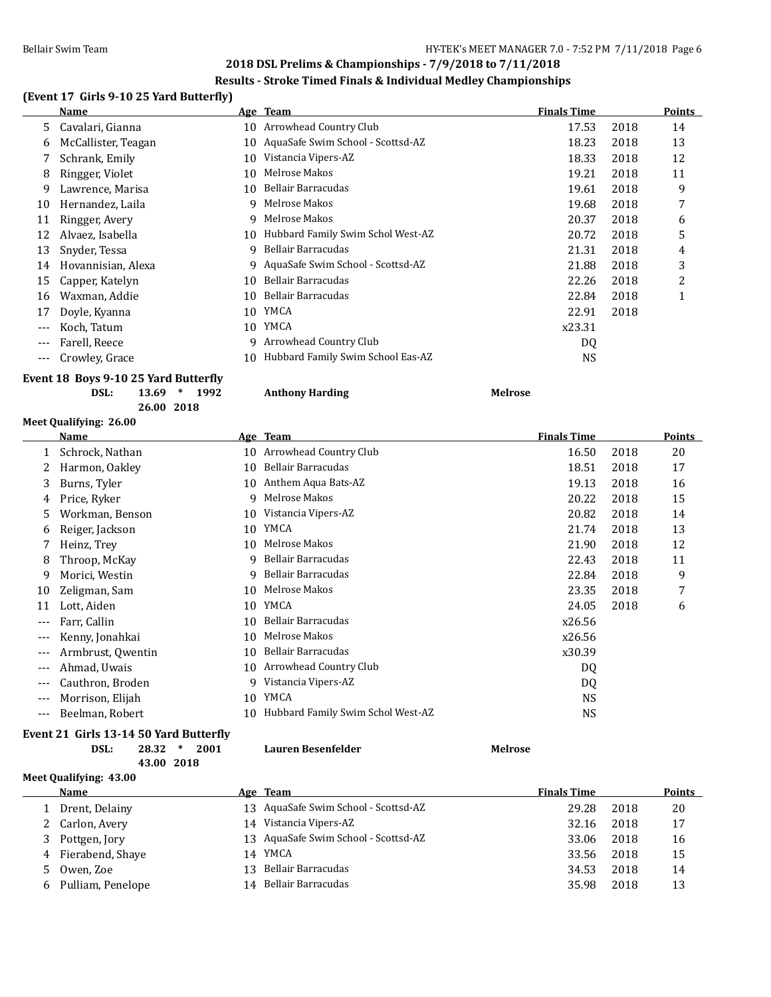# **Results - Stroke Timed Finals & Individual Medley Championships**

# **(Event 17 Girls 9-10 25 Yard Butterfly)**

|       | Name                |    | Age Team                          | <b>Finals Time</b> |      | <b>Points</b> |
|-------|---------------------|----|-----------------------------------|--------------------|------|---------------|
| 5.    | Cavalari, Gianna    | 10 | Arrowhead Country Club            | 17.53              | 2018 | 14            |
| 6     | McCallister, Teagan | 10 | AquaSafe Swim School - Scottsd-AZ | 18.23              | 2018 | 13            |
|       | Schrank, Emily      | 10 | Vistancia Vipers-AZ               | 18.33              | 2018 | 12            |
| 8     | Ringger, Violet     | 10 | Melrose Makos                     | 19.21              | 2018 | 11            |
| 9     | Lawrence, Marisa    | 10 | Bellair Barracudas                | 19.61              | 2018 | 9             |
| 10    | Hernandez, Laila    | 9  | Melrose Makos                     | 19.68              | 2018 | 7             |
| 11    | Ringger, Avery      | 9  | Melrose Makos                     | 20.37              | 2018 | 6             |
| 12    | Alvaez, Isabella    | 10 | Hubbard Family Swim Schol West-AZ | 20.72              | 2018 | 5             |
| 13    | Snyder, Tessa       | q  | Bellair Barracudas                | 21.31              | 2018 | 4             |
| 14    | Hovannisian, Alexa  | 9  | AquaSafe Swim School - Scottsd-AZ | 21.88              | 2018 | 3             |
| 15    | Capper, Katelyn     | 10 | Bellair Barracudas                | 22.26              | 2018 | 2             |
| 16    | Waxman, Addie       | 10 | Bellair Barracudas                | 22.84              | 2018 | 1             |
| 17    | Doyle, Kyanna       | 10 | YMCA                              | 22.91              | 2018 |               |
| ---   | Koch, Tatum         | 10 | YMCA                              | x23.31             |      |               |
| $---$ | Farell, Reece       | 9  | Arrowhead Country Club            | DQ                 |      |               |
| ---   | Crowley, Grace      | 10 | Hubbard Family Swim School Eas-AZ | <b>NS</b>          |      |               |
|       |                     |    |                                   |                    |      |               |

# **Event 18 Boys 9-10 25 Yard Butterfly**

| DSL: | 1992<br>$13.69$ * | <b>Anthony Harding</b> | <b>Melrose</b> |
|------|-------------------|------------------------|----------------|
|      | 26.00 2018        |                        |                |

# **Meet Qualifying: 26.00**

|       | Name              |    | Age Team                          | <b>Finals Time</b> |      | <b>Points</b> |
|-------|-------------------|----|-----------------------------------|--------------------|------|---------------|
|       | Schrock, Nathan   |    | 10 Arrowhead Country Club         | 16.50              | 2018 | 20            |
| 2     | Harmon, Oakley    | 10 | Bellair Barracudas                | 18.51              | 2018 | 17            |
| 3     | Burns, Tyler      | 10 | Anthem Aqua Bats-AZ               | 19.13              | 2018 | 16            |
| 4     | Price, Ryker      | 9  | Melrose Makos                     | 20.22              | 2018 | 15            |
| 5     | Workman, Benson   | 10 | Vistancia Vipers-AZ               | 20.82              | 2018 | 14            |
| 6     | Reiger, Jackson   | 10 | YMCA                              | 21.74              | 2018 | 13            |
|       | Heinz, Trey       | 10 | Melrose Makos                     | 21.90              | 2018 | 12            |
| 8     | Throop, McKay     | 9  | Bellair Barracudas                | 22.43              | 2018 | 11            |
| 9     | Morici, Westin    | 9  | Bellair Barracudas                | 22.84              | 2018 | 9             |
| 10    | Zeligman, Sam     | 10 | Melrose Makos                     | 23.35              | 2018 | 7             |
| 11    | Lott, Aiden       | 10 | YMCA                              | 24.05              | 2018 | 6             |
| ---   | Farr, Callin      | 10 | Bellair Barracudas                | x26.56             |      |               |
| ---   | Kenny, Jonahkai   | 10 | Melrose Makos                     | x26.56             |      |               |
| ---   | Armbrust, Qwentin | 10 | Bellair Barracudas                | x30.39             |      |               |
| ---   | Ahmad, Uwais      | 10 | Arrowhead Country Club            | DQ                 |      |               |
| $---$ | Cauthron, Broden  | 9  | Vistancia Vipers-AZ               | DQ                 |      |               |
| $---$ | Morrison, Elijah  | 10 | YMCA                              | NS.                |      |               |
| ---   | Beelman, Robert   | 10 | Hubbard Family Swim Schol West-AZ | NS                 |      |               |
|       |                   |    |                                   |                    |      |               |

#### **Event 21 Girls 13-14 50 Yard Butterfly**

| $28.32$ * | DSL: |  | 2001 | Lauren Besenfelder | Melrose |
|-----------|------|--|------|--------------------|---------|
|-----------|------|--|------|--------------------|---------|

**43.00 2018**

**Meet Qualifying: 43.00**

|       | Name                |     | Age Team                             | <b>Finals Time</b> |      | Points |
|-------|---------------------|-----|--------------------------------------|--------------------|------|--------|
|       | Drent, Delainy      |     | 13 AquaSafe Swim School - Scottsd-AZ | 29.28              | 2018 | 20     |
|       | 2 Carlon, Avery     | 14  | Vistancia Vipers-AZ                  | 32.16              | 2018 | 17     |
| 3.    | Pottgen, Jory       |     | 13 AquaSafe Swim School - Scottsd-AZ | 33.06              | 2018 | 16     |
|       | 4 Fierabend, Shaye  | 14  | YMCA                                 | 33.56              | 2018 | 15     |
| $5 -$ | Owen, Zoe           | 13. | Bellair Barracudas                   | 34.53              | 2018 | 14     |
|       | 6 Pulliam, Penelope | 14  | Bellair Barracudas                   | 35.98              | 2018 | 13     |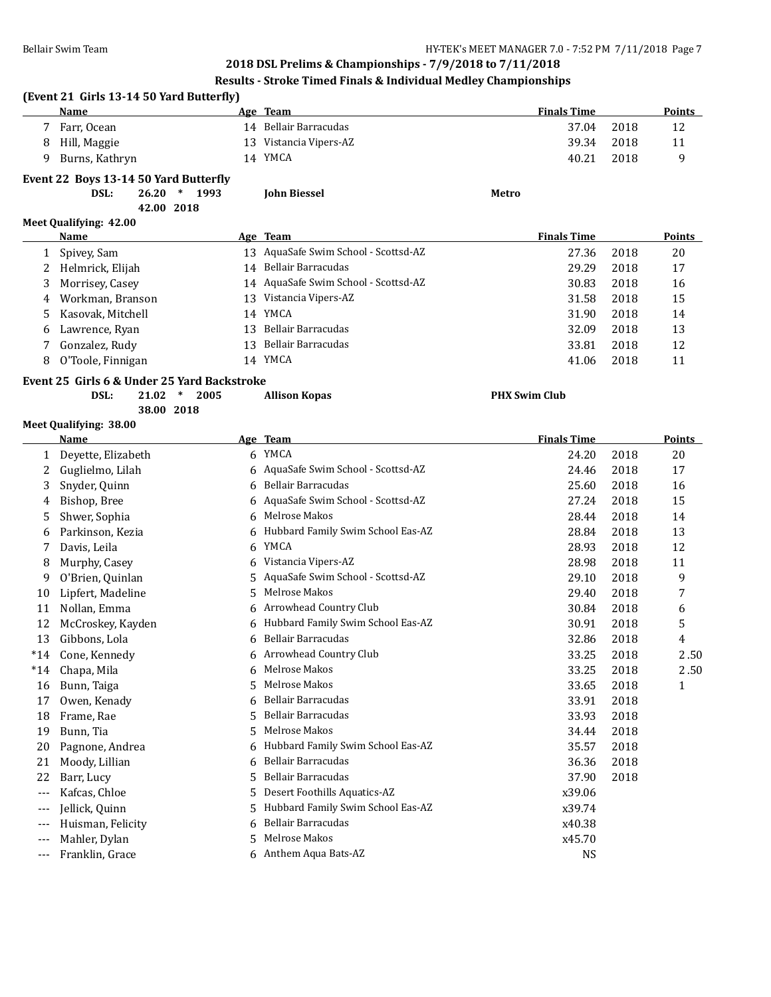# **Results - Stroke Timed Finals & Individual Medley Championships**

|       | (Event 21 Girls 13-14 50 Yard Butterfly)<br>Name |      | Age Team                             | <b>Finals Time</b>   |      | Points        |
|-------|--------------------------------------------------|------|--------------------------------------|----------------------|------|---------------|
|       | 7 Farr, Ocean                                    |      | 14 Bellair Barracudas                | 37.04                | 2018 | 12            |
| 8     | Hill, Maggie                                     |      | 13 Vistancia Vipers-AZ               | 39.34                | 2018 | 11            |
| 9     | Burns, Kathryn                                   |      | 14 YMCA                              | 40.21                | 2018 | 9             |
|       | Event 22 Boys 13-14 50 Yard Butterfly            |      |                                      |                      |      |               |
|       | DSL:<br>$26.20*$                                 | 1993 | <b>John Biessel</b>                  | Metro                |      |               |
|       | 42.00 2018                                       |      |                                      |                      |      |               |
|       | Meet Qualifying: 42.00                           |      |                                      |                      |      |               |
|       | Name                                             |      | Age Team                             | <b>Finals Time</b>   |      | <b>Points</b> |
| 1     | Spivey, Sam                                      |      | 13 AquaSafe Swim School - Scottsd-AZ | 27.36                | 2018 | 20            |
| 2     | Helmrick, Elijah                                 |      | 14 Bellair Barracudas                | 29.29                | 2018 | 17            |
| 3     | Morrisey, Casey                                  |      | 14 AquaSafe Swim School - Scottsd-AZ | 30.83                | 2018 | 16            |
| 4     | Workman, Branson                                 |      | 13 Vistancia Vipers-AZ               | 31.58                | 2018 | 15            |
| 5     | Kasovak, Mitchell                                |      | 14 YMCA                              | 31.90                | 2018 | 14            |
| 6     | Lawrence, Ryan                                   | 13   | Bellair Barracudas                   | 32.09                | 2018 | 13            |
| 7     | Gonzalez, Rudy                                   | 13   | Bellair Barracudas                   | 33.81                | 2018 | 12            |
| 8     | O'Toole, Finnigan                                |      | 14 YMCA                              | 41.06                | 2018 | 11            |
|       | Event 25 Girls 6 & Under 25 Yard Backstroke      |      |                                      |                      |      |               |
|       | $\ast$<br>DSL:<br>21.02<br>38.00 2018            | 2005 | <b>Allison Kopas</b>                 | <b>PHX Swim Club</b> |      |               |
|       | Meet Qualifying: 38.00                           |      |                                      |                      |      |               |
|       | <u>Name</u>                                      |      | Age Team                             | <b>Finals Time</b>   |      | <b>Points</b> |
| 1     | Deyette, Elizabeth                               |      | 6 YMCA                               | 24.20                | 2018 | 20            |
| 2     | Guglielmo, Lilah                                 | 6    | AquaSafe Swim School - Scottsd-AZ    | 24.46                | 2018 | 17            |
| 3     | Snyder, Quinn                                    | 6    | Bellair Barracudas                   | 25.60                | 2018 | 16            |
| 4     | Bishop, Bree                                     | 6    | AquaSafe Swim School - Scottsd-AZ    | 27.24                | 2018 | 15            |
| 5     | Shwer, Sophia                                    |      | Melrose Makos                        | 28.44                | 2018 | 14            |
| 6     | Parkinson, Kezia                                 | 6    | Hubbard Family Swim School Eas-AZ    | 28.84                | 2018 | 13            |
| 7     | Davis, Leila                                     | 6    | YMCA                                 | 28.93                | 2018 | 12            |
| 8     | Murphy, Casey                                    | 6    | Vistancia Vipers-AZ                  | 28.98                | 2018 | 11            |
| 9     | O'Brien, Quinlan                                 | 5    | AquaSafe Swim School - Scottsd-AZ    | 29.10                | 2018 | 9             |
| 10    | Lipfert, Madeline                                | 5    | Melrose Makos                        | 29.40                | 2018 | 7             |
| 11    | Nollan, Emma                                     | 6    | Arrowhead Country Club               | 30.84                | 2018 | 6             |
| 12    | McCroskey, Kayden                                | 6    | Hubbard Family Swim School Eas-AZ    | 30.91                | 2018 | 5             |
| 13    | Gibbons, Lola                                    | 6    | <b>Bellair Barracudas</b>            | 32.86                | 2018 | 4             |
| $*14$ | Cone, Kennedy                                    | 6    | Arrowhead Country Club               | 33.25                | 2018 | 2.50          |
| $*14$ | Chapa, Mila                                      | 6    | Melrose Makos                        | 33.25                | 2018 | 2.50          |
| 16    | Bunn, Taiga                                      | 5    | Melrose Makos                        | 33.65                | 2018 | $\mathbf{1}$  |
| 17    | Owen, Kenady                                     | 6    | Bellair Barracudas                   | 33.91                | 2018 |               |
| 18    | Frame, Rae                                       | 5    | <b>Bellair Barracudas</b>            | 33.93                | 2018 |               |
| 19    | Bunn, Tia                                        | 5    | Melrose Makos                        | 34.44                | 2018 |               |
| 20    | Pagnone, Andrea                                  | 6    | Hubbard Family Swim School Eas-AZ    | 35.57                | 2018 |               |
| 21    | Moody, Lillian                                   | 6    | <b>Bellair Barracudas</b>            | 36.36                | 2018 |               |
| 22    | Barr, Lucy                                       | 5    | Bellair Barracudas                   | 37.90                | 2018 |               |
| $---$ | Kafcas, Chloe                                    | 5    | Desert Foothills Aquatics-AZ         | x39.06               |      |               |
| $---$ | Jellick, Quinn                                   | 5    | Hubbard Family Swim School Eas-AZ    | x39.74               |      |               |
| ---   | Huisman, Felicity                                | 6    | Bellair Barracudas                   | x40.38               |      |               |
| $---$ | Mahler, Dylan                                    | 5    | Melrose Makos                        | x45.70               |      |               |
| $---$ | Franklin, Grace                                  |      | 6 Anthem Aqua Bats-AZ                | <b>NS</b>            |      |               |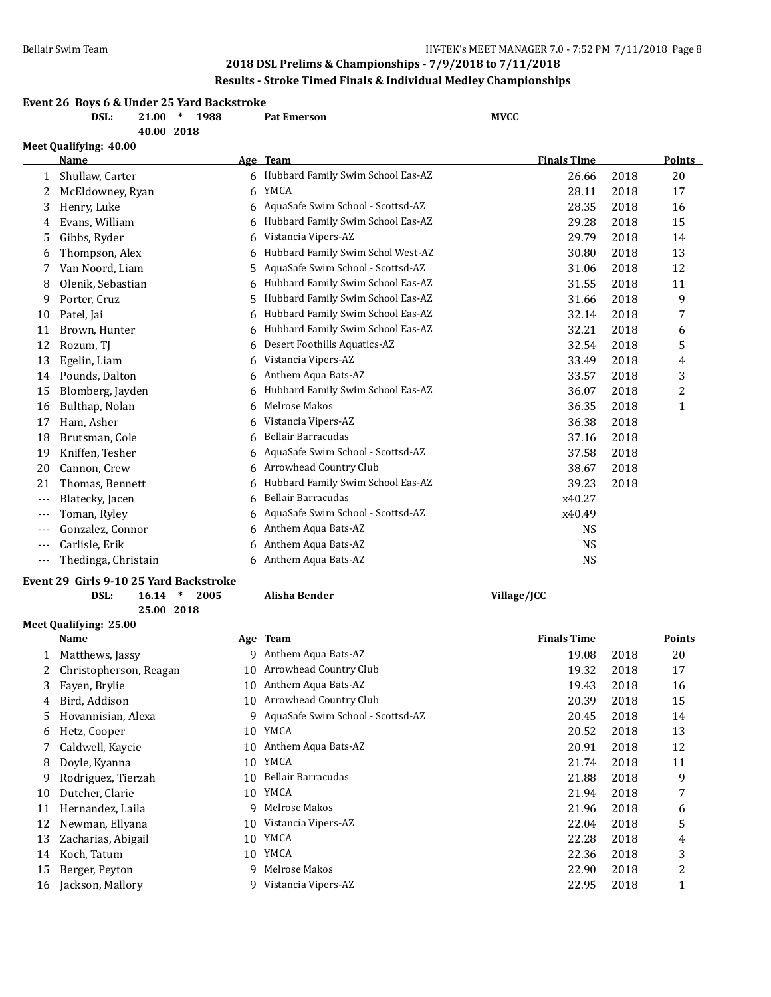# **2018 DSL Prelims & Championships - 7/9/2018 to 7/11/2018 Results - Stroke Timed Finals & Individual Medley Championships**

| Event 26 Boys 6 & Under 25 Yard Backstroke |      |              |  |  |                    |             |  |  |  |
|--------------------------------------------|------|--------------|--|--|--------------------|-------------|--|--|--|
|                                            | DSL: | 21.00 * 1988 |  |  | <b>Pat Emerson</b> | <b>MVCC</b> |  |  |  |

**40.00 2018**

|       | Meet Qualifying: 40.00                 |    |                                   |                    |      |              |
|-------|----------------------------------------|----|-----------------------------------|--------------------|------|--------------|
|       | Name                                   |    | Age Team                          | <b>Finals Time</b> |      | Points       |
| 1     | Shullaw, Carter                        | 6. | Hubbard Family Swim School Eas-AZ | 26.66              | 2018 | 20           |
| 2     | McEldowney, Ryan                       | 6  | YMCA                              | 28.11              | 2018 | 17           |
| 3     | Henry, Luke                            | 6  | AquaSafe Swim School - Scottsd-AZ | 28.35              | 2018 | 16           |
| 4     | Evans, William                         | 6  | Hubbard Family Swim School Eas-AZ | 29.28              | 2018 | 15           |
| 5     | Gibbs, Ryder                           | 6  | Vistancia Vipers-AZ               | 29.79              | 2018 | 14           |
| 6     | Thompson, Alex                         | 6  | Hubbard Family Swim Schol West-AZ | 30.80              | 2018 | 13           |
| 7     | Van Noord, Liam                        | 5  | AquaSafe Swim School - Scottsd-AZ | 31.06              | 2018 | 12           |
| 8     | Olenik, Sebastian                      | 6  | Hubbard Family Swim School Eas-AZ | 31.55              | 2018 | 11           |
| 9     | Porter, Cruz                           | 5  | Hubbard Family Swim School Eas-AZ | 31.66              | 2018 | 9            |
| 10    | Patel, Jai                             | 6  | Hubbard Family Swim School Eas-AZ | 32.14              | 2018 | 7            |
| 11    | Brown, Hunter                          | 6  | Hubbard Family Swim School Eas-AZ | 32.21              | 2018 | 6            |
| 12    | Rozum, TJ                              | 6  | Desert Foothills Aquatics-AZ      | 32.54              | 2018 | 5            |
| 13    | Egelin, Liam                           | 6  | Vistancia Vipers-AZ               | 33.49              | 2018 | 4            |
| 14    | Pounds, Dalton                         | 6  | Anthem Aqua Bats-AZ               | 33.57              | 2018 | 3            |
| 15    | Blomberg, Jayden                       | 6  | Hubbard Family Swim School Eas-AZ | 36.07              | 2018 | 2            |
| 16    | Bulthap, Nolan                         | 6  | Melrose Makos                     | 36.35              | 2018 | $\mathbf{1}$ |
| 17    | Ham, Asher                             | 6  | Vistancia Vipers-AZ               | 36.38              | 2018 |              |
| 18    | Brutsman, Cole                         | 6  | Bellair Barracudas                | 37.16              | 2018 |              |
| 19    | Kniffen, Tesher                        | 6  | AquaSafe Swim School - Scottsd-AZ | 37.58              | 2018 |              |
| 20    | Cannon, Crew                           | 6  | Arrowhead Country Club            | 38.67              | 2018 |              |
| 21    | Thomas, Bennett                        | 6  | Hubbard Family Swim School Eas-AZ | 39.23              | 2018 |              |
| ---   | Blatecky, Jacen                        | 6  | <b>Bellair Barracudas</b>         | x40.27             |      |              |
| $---$ | Toman, Ryley                           | 6  | AquaSafe Swim School - Scottsd-AZ | x40.49             |      |              |
| $---$ | Gonzalez, Connor                       | 6  | Anthem Aqua Bats-AZ               | <b>NS</b>          |      |              |
| ---   | Carlisle, Erik                         | 6  | Anthem Aqua Bats-AZ               | <b>NS</b>          |      |              |
| $---$ | Thedinga, Christain                    | 6. | Anthem Aqua Bats-AZ               | <b>NS</b>          |      |              |
|       | Event 29 Girls 9-10 25 Yard Backstroke |    |                                   |                    |      |              |

### **Event 29 Girls 9-10 25 Yard Backstroke**

**Meet Qualifying: 25.00**

**25.00 2018**

**DSL: 16.14 \* 2005 Alisha Bender Village/JCC**

|    | Name                   |    | Age Team                          | <b>Finals Time</b> |      | Points |
|----|------------------------|----|-----------------------------------|--------------------|------|--------|
|    | Matthews, Jassy        | q  | Anthem Aqua Bats-AZ               | 19.08              | 2018 | 20     |
|    | Christopherson, Reagan | 10 | Arrowhead Country Club            | 19.32              | 2018 | 17     |
| 3  | Fayen, Brylie          | 10 | Anthem Aqua Bats-AZ               | 19.43              | 2018 | 16     |
| 4  | Bird, Addison          | 10 | Arrowhead Country Club            | 20.39              | 2018 | 15     |
| 5  | Hovannisian, Alexa     | 9  | AquaSafe Swim School - Scottsd-AZ | 20.45              | 2018 | 14     |
| 6  | Hetz, Cooper           | 10 | YMCA                              | 20.52              | 2018 | 13     |
|    | Caldwell, Kaycie       | 10 | Anthem Aqua Bats-AZ               | 20.91              | 2018 | 12     |
| 8  | Doyle, Kyanna          | 10 | YMCA                              | 21.74              | 2018 | 11     |
| 9  | Rodriguez, Tierzah     | 10 | Bellair Barracudas                | 21.88              | 2018 | 9      |
| 10 | Dutcher, Clarie        | 10 | YMCA                              | 21.94              | 2018 | 7      |
| 11 | Hernandez, Laila       | q  | Melrose Makos                     | 21.96              | 2018 | 6      |
| 12 | Newman, Ellyana        | 10 | Vistancia Vipers-AZ               | 22.04              | 2018 | 5      |
| 13 | Zacharias, Abigail     | 10 | YMCA                              | 22.28              | 2018 | 4      |
| 14 | Koch, Tatum            | 10 | YMCA                              | 22.36              | 2018 | 3      |
| 15 | Berger, Peyton         | 9  | Melrose Makos                     | 22.90              | 2018 | 2      |
| 16 | Jackson, Mallory       | 9  | Vistancia Vipers-AZ               | 22.95              | 2018 |        |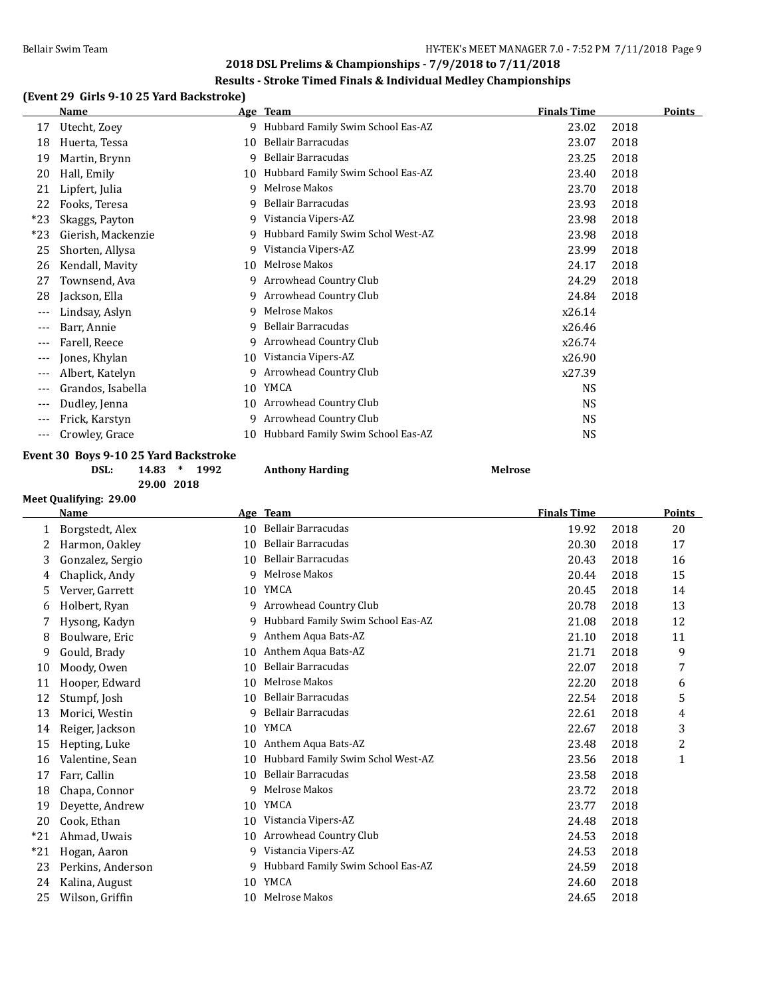#### **Results - Stroke Timed Finals & Individual Medley Championships**

# **(Event 29 Girls 9-10 25 Yard Backstroke)**

|       | Name               |    | Age Team                          | <b>Finals Time</b> | <b>Points</b> |  |
|-------|--------------------|----|-----------------------------------|--------------------|---------------|--|
| 17    | Utecht, Zoey       | 9  | Hubbard Family Swim School Eas-AZ | 23.02              | 2018          |  |
| 18    | Huerta, Tessa      | 10 | Bellair Barracudas                | 23.07              | 2018          |  |
| 19    | Martin, Brynn      | 9  | Bellair Barracudas                | 23.25              | 2018          |  |
| 20    | Hall, Emily        | 10 | Hubbard Family Swim School Eas-AZ | 23.40              | 2018          |  |
| 21    | Lipfert, Julia     | 9  | Melrose Makos                     | 23.70              | 2018          |  |
| 22    | Fooks, Teresa      | 9  | Bellair Barracudas                | 23.93              | 2018          |  |
| $*23$ | Skaggs, Payton     | 9  | Vistancia Vipers-AZ               | 23.98              | 2018          |  |
| $*23$ | Gierish, Mackenzie | 9  | Hubbard Family Swim Schol West-AZ | 23.98              | 2018          |  |
| 25    | Shorten, Allysa    | 9  | Vistancia Vipers-AZ               | 23.99              | 2018          |  |
| 26    | Kendall, Mavity    | 10 | Melrose Makos                     | 24.17              | 2018          |  |
| 27    | Townsend, Ava      | 9  | Arrowhead Country Club            | 24.29              | 2018          |  |
| 28    | Jackson, Ella      | 9  | Arrowhead Country Club            | 24.84              | 2018          |  |
| ---   | Lindsay, Aslyn     | 9  | Melrose Makos                     | x26.14             |               |  |
| ---   | Barr, Annie        | 9  | Bellair Barracudas                | x26.46             |               |  |
| ---   | Farell, Reece      | q  | Arrowhead Country Club            | x26.74             |               |  |
| ---   | Jones, Khylan      | 10 | Vistancia Vipers-AZ               | x26.90             |               |  |
| ---   | Albert, Katelyn    | 9  | Arrowhead Country Club            | x27.39             |               |  |
| ---   | Grandos, Isabella  | 10 | YMCA                              | NS                 |               |  |
| ---   | Dudley, Jenna      | 10 | Arrowhead Country Club            | NS.                |               |  |
| ---   | Frick, Karstyn     | q  | Arrowhead Country Club            | NS.                |               |  |
| ---   | Crowley, Grace     | 10 | Hubbard Family Swim School Eas-AZ | NS                 |               |  |
|       |                    |    |                                   |                    |               |  |

**Event 30 Boys 9-10 25 Yard Backstroke DSL: 14.83 \* 1992 Anthony Harding Melrose**

**29.00 2018**

**Meet Qualifying: 29.00**

**Name Age Team Finals Time Points** 1 Borgstedt, Alex 10 Bellair Barracudas 19.92 2018 20 Harmon, Oakley 10 Bellair Barracudas 20.30 2018 17 Gonzalez, Sergio 10 Bellair Barracudas 20.43 2018 16 Chaplick, Andy 9 Melrose Makos 20.44 2018 15 Verver, Garrett 10 YMCA 20.45 2018 14 Holbert, Ryan 9 Arrowhead Country Club 20.78 2018 13 Hysong, Kadyn 9 Hubbard Family Swim School Eas-AZ 21.08 2018 12 Boulware, Eric 9 Anthem Aqua Bats-AZ 21.10 2018 11 Gould, Brady 10 Anthem Aqua Bats-AZ 21.71 2018 9 Moody, Owen 10 Bellair Barracudas 22.07 2018 7 11 Hooper, Edward 10 Melrose Makos 22.20 2018 6 Stumpf, Josh 10 Bellair Barracudas 22.54 2018 5 Morici, Westin 9 Bellair Barracudas 22.61 2018 4 Reiger, Jackson 10 YMCA 22.67 2018 3 15 Hepting, Luke 10 Anthem Aqua Bats-AZ 23.48 2018 2 16 Valentine, Sean 10 10 Hubbard Family Swim Schol West-AZ 23.56 2018 1 Farr, Callin 10 Bellair Barracudas 23.58 2018 18 Chapa, Connor 9 Melrose Makos 23.72 2018 Deyette, Andrew 10 YMCA 23.77 2018 Cook, Ethan 10 Vistancia Vipers-AZ 24.48 2018 \*21 Ahmad, Uwais 10 Arrowhead Country Club 24.53 2018 \*21 Hogan, Aaron 9 Vistancia Vipers-AZ 24.53 2018 Perkins, Anderson 9 Hubbard Family Swim School Eas-AZ 24.59 2018 Kalina, August 10 YMCA 24.60 2018 Wilson, Griffin 10 Melrose Makos 24.65 2018